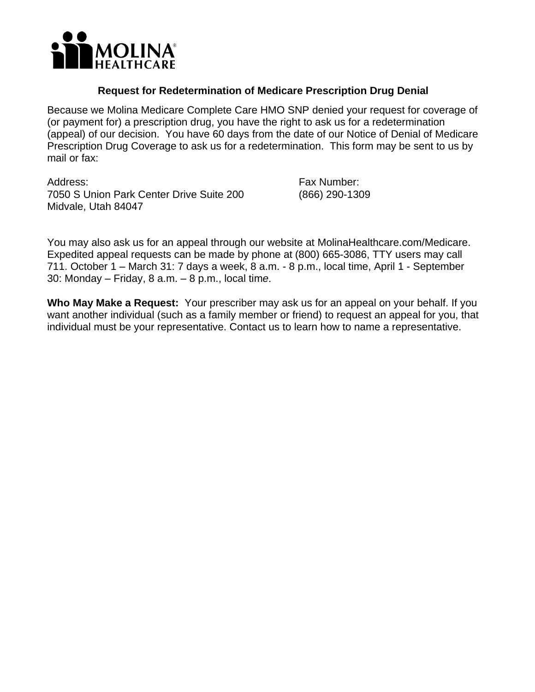

## **Request for Redetermination of Medicare Prescription Drug Denial**

Because we Molina Medicare Complete Care HMO SNP denied your request for coverage of (or payment for) a prescription drug, you have the right to ask us for a redetermination (appeal) of our decision. You have 60 days from the date of our Notice of Denial of Medicare Prescription Drug Coverage to ask us for a redetermination. This form may be sent to us by mail or fax:

Address: 7050 S Union Park Center Drive Suite 200 Midvale, Utah 84047

Fax Number: (866) 290-1309

You may also ask us for an appeal through our website at [MolinaHealthcare.com/Medicare.](https://MolinaHealthcare.com/Medicare) Expedited appeal requests can be made by phone at (800) 665-3086, TTY users may call 711. October 1 – March 31: 7 days a week, 8 a.m. - 8 p.m., local time, April 1 - September 30: Monday – Friday, 8 a.m. – 8 p.m., local tim*e*.

 **Who May Make a Request:** Your prescriber may ask us for an appeal on your behalf. If you want another individual (such as a family member or friend) to request an appeal for you, that individual must be your representative. Contact us to learn how to name a representative.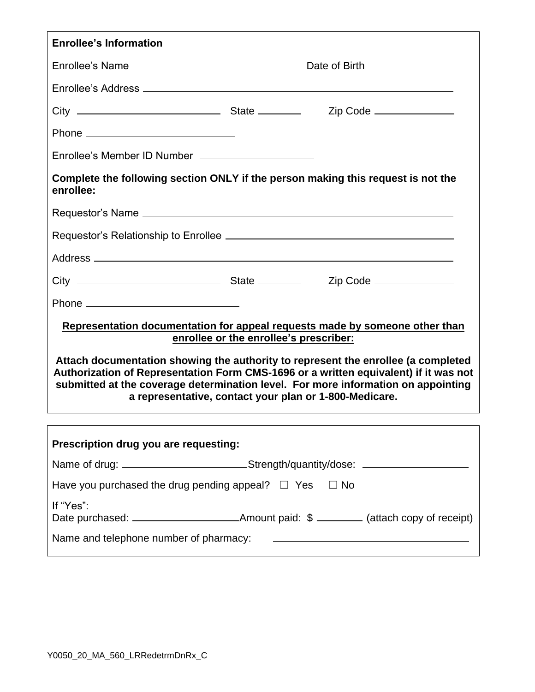| <b>Enrollee's Information</b>                                                                                                                                                                                                                                                                                                                                      |  |                                                                                                                       |  |  |  |
|--------------------------------------------------------------------------------------------------------------------------------------------------------------------------------------------------------------------------------------------------------------------------------------------------------------------------------------------------------------------|--|-----------------------------------------------------------------------------------------------------------------------|--|--|--|
|                                                                                                                                                                                                                                                                                                                                                                    |  |                                                                                                                       |  |  |  |
|                                                                                                                                                                                                                                                                                                                                                                    |  |                                                                                                                       |  |  |  |
|                                                                                                                                                                                                                                                                                                                                                                    |  |                                                                                                                       |  |  |  |
|                                                                                                                                                                                                                                                                                                                                                                    |  |                                                                                                                       |  |  |  |
| Enrollee's Member ID Number _______________________                                                                                                                                                                                                                                                                                                                |  |                                                                                                                       |  |  |  |
| Complete the following section ONLY if the person making this request is not the<br>enrollee:                                                                                                                                                                                                                                                                      |  |                                                                                                                       |  |  |  |
|                                                                                                                                                                                                                                                                                                                                                                    |  |                                                                                                                       |  |  |  |
|                                                                                                                                                                                                                                                                                                                                                                    |  |                                                                                                                       |  |  |  |
|                                                                                                                                                                                                                                                                                                                                                                    |  |                                                                                                                       |  |  |  |
|                                                                                                                                                                                                                                                                                                                                                                    |  |                                                                                                                       |  |  |  |
|                                                                                                                                                                                                                                                                                                                                                                    |  |                                                                                                                       |  |  |  |
| Representation documentation for appeal requests made by someone other than                                                                                                                                                                                                                                                                                        |  |                                                                                                                       |  |  |  |
| enrollee or the enrollee's prescriber:<br>Attach documentation showing the authority to represent the enrollee (a completed<br>Authorization of Representation Form CMS-1696 or a written equivalent) if it was not<br>submitted at the coverage determination level. For more information on appointing<br>a representative, contact your plan or 1-800-Medicare. |  |                                                                                                                       |  |  |  |
|                                                                                                                                                                                                                                                                                                                                                                    |  |                                                                                                                       |  |  |  |
| Prescription drug you are requesting:                                                                                                                                                                                                                                                                                                                              |  |                                                                                                                       |  |  |  |
| Name of drug: ___________________________Strength/quantity/dose: _______________                                                                                                                                                                                                                                                                                   |  |                                                                                                                       |  |  |  |
| Have you purchased the drug pending appeal? $\Box$ Yes $\Box$ No                                                                                                                                                                                                                                                                                                   |  |                                                                                                                       |  |  |  |
| If "Yes":                                                                                                                                                                                                                                                                                                                                                          |  |                                                                                                                       |  |  |  |
| Name and telephone number of pharmacy:                                                                                                                                                                                                                                                                                                                             |  | <u> 1980 - Andrea State Barbara, amerikan personal di sebagai personal di sebagai personal di sebagai personal di</u> |  |  |  |